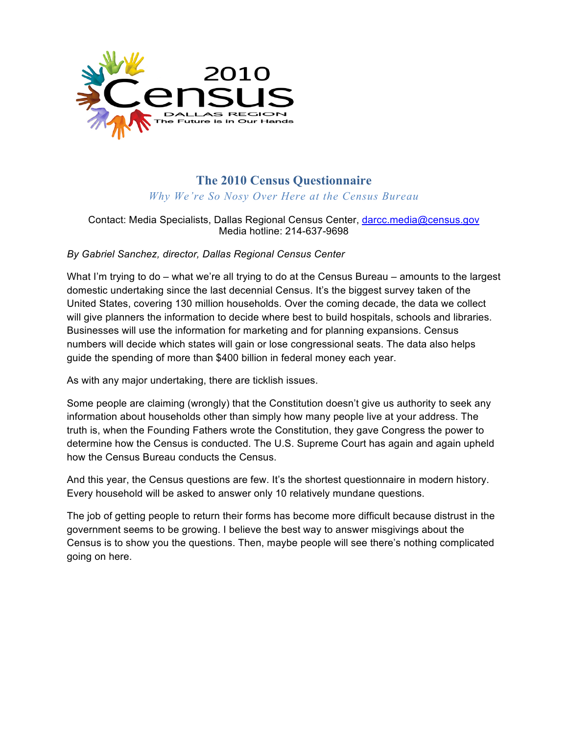

# **The 2010 Census Questionnaire**

*Why We're So Nosy Over Here at the Census Bureau*

## Contact: Media Specialists, Dallas Regional Census Center, darcc.media@census.gov Media hotline: 214-637-9698

### *By Gabriel Sanchez, director, Dallas Regional Census Center*

What I'm trying to do – what we're all trying to do at the Census Bureau – amounts to the largest domestic undertaking since the last decennial Census. It's the biggest survey taken of the United States, covering 130 million households. Over the coming decade, the data we collect will give planners the information to decide where best to build hospitals, schools and libraries. Businesses will use the information for marketing and for planning expansions. Census numbers will decide which states will gain or lose congressional seats. The data also helps guide the spending of more than \$400 billion in federal money each year.

As with any major undertaking, there are ticklish issues.

Some people are claiming (wrongly) that the Constitution doesn't give us authority to seek any information about households other than simply how many people live at your address. The truth is, when the Founding Fathers wrote the Constitution, they gave Congress the power to determine how the Census is conducted. The U.S. Supreme Court has again and again upheld how the Census Bureau conducts the Census.

And this year, the Census questions are few. It's the shortest questionnaire in modern history. Every household will be asked to answer only 10 relatively mundane questions.

The job of getting people to return their forms has become more difficult because distrust in the government seems to be growing. I believe the best way to answer misgivings about the Census is to show you the questions. Then, maybe people will see there's nothing complicated going on here.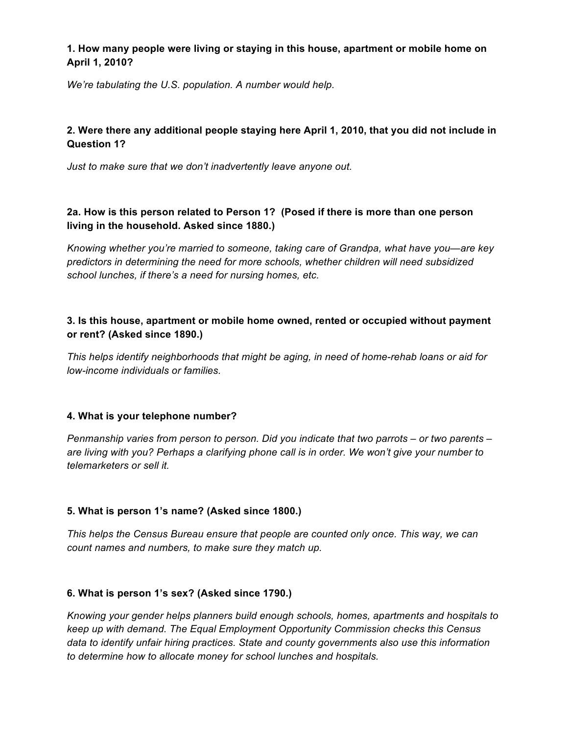# **1. How many people were living or staying in this house, apartment or mobile home on April 1, 2010?**

*We're tabulating the U.S. population. A number would help.*

# **2. Were there any additional people staying here April 1, 2010, that you did not include in Question 1?**

*Just to make sure that we don't inadvertently leave anyone out.*

# **2a. How is this person related to Person 1? (Posed if there is more than one person living in the household. Asked since 1880.)**

*Knowing whether you're married to someone, taking care of Grandpa, what have you—are key predictors in determining the need for more schools, whether children will need subsidized school lunches, if there's a need for nursing homes, etc.*

### **3. Is this house, apartment or mobile home owned, rented or occupied without payment or rent? (Asked since 1890.)**

*This helps identify neighborhoods that might be aging, in need of home-rehab loans or aid for low-income individuals or families.*

#### **4. What is your telephone number?**

*Penmanship varies from person to person. Did you indicate that two parrots – or two parents – are living with you? Perhaps a clarifying phone call is in order. We won't give your number to telemarketers or sell it.*

# **5. What is person 1's name? (Asked since 1800.)**

*This helps the Census Bureau ensure that people are counted only once. This way, we can count names and numbers, to make sure they match up.*

# **6. What is person 1's sex? (Asked since 1790.)**

*Knowing your gender helps planners build enough schools, homes, apartments and hospitals to keep up with demand. The Equal Employment Opportunity Commission checks this Census data to identify unfair hiring practices. State and county governments also use this information to determine how to allocate money for school lunches and hospitals.*